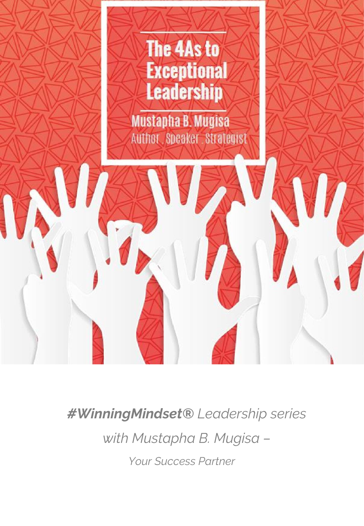

*#WinningMindset® Leadership series with Mustapha B. Mugisa – Your Success Partner*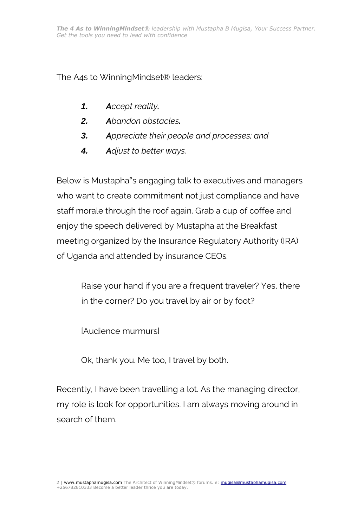The A4s to WinningMindset® leaders:

- *1. Accept reality.*
- *2. Abandon obstacles.*
- *3. Appreciate their people and processes; and*
- *4. Adjust to better ways.*

Below is Mustapha"s engaging talk to executives and managers who want to create commitment not just compliance and have staff morale through the roof again. Grab a cup of coffee and enjoy the speech delivered by Mustapha at the Breakfast meeting organized by the Insurance Regulatory Authority (IRA) of Uganda and attended by insurance CEOs.

Raise your hand if you are a frequent traveler? Yes, there in the corner? Do you travel by air or by foot?

[Audience murmurs]

Ok, thank you. Me too, I travel by both.

Recently, I have been travelling a lot. As the managing director, my role is look for opportunities. I am always moving around in search of them.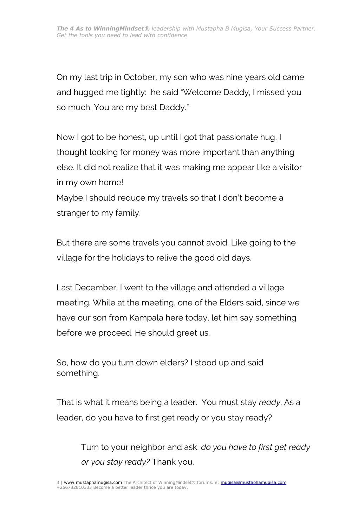On my last trip in October, my son who was nine years old came and hugged me tightly: he said "Welcome Daddy, I missed you so much. You are my best Daddy."

Now I got to be honest, up until I got that passionate hug, I thought looking for money was more important than anything else. It did not realize that it was making me appear like a visitor in my own home!

Maybe I should reduce my travels so that I don't become a stranger to my family.

But there are some travels you cannot avoid. Like going to the village for the holidays to relive the good old days.

Last December, I went to the village and attended a village meeting. While at the meeting, one of the Elders said, since we have our son from Kampala here today, let him say something before we proceed. He should greet us.

So, how do you turn down elders? I stood up and said something.

That is what it means being a leader. You must stay *ready*. As a leader, do you have to first get ready or you stay ready?

> Turn to your neighbor and ask: *do you have to first get ready or you stay ready?* Thank you.

<sup>3 |</sup> www.mustaphamugisa.com The Architect of WinningMindset® forums. e: mugisa@mustaphamugisa.com

<sup>+256782610333</sup> Become a better leader thrice you are today.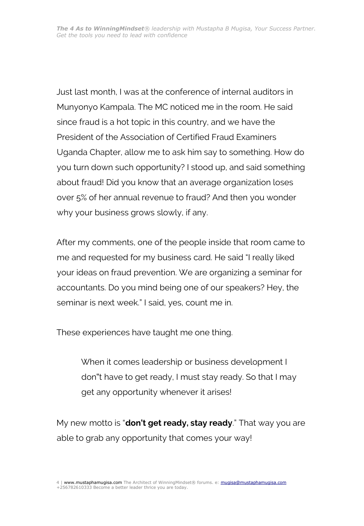Just last month, I was at the conference of internal auditors in Munyonyo Kampala. The MC noticed me in the room. He said since fraud is a hot topic in this country, and we have the President of the Association of Certified Fraud Examiners Uganda Chapter, allow me to ask him say to something. How do you turn down such opportunity? I stood up, and said something about fraud! Did you know that an average organization loses over 5% of her annual revenue to fraud? And then you wonder why your business grows slowly, if any.

After my comments, one of the people inside that room came to me and requested for my business card. He said "I really liked your ideas on fraud prevention. We are organizing a seminar for accountants. Do you mind being one of our speakers? Hey, the seminar is next week." I said, yes, count me in.

These experiences have taught me one thing.

When it comes leadership or business development I don"t have to get ready, I must stay ready. So that I may get any opportunity whenever it arises!

My new motto is "**don't get ready, stay ready**." That way you are able to grab any opportunity that comes your way!

<sup>4 |</sup> www.mustaphamugisa.com The Architect of WinningMindset® forums. e: mugisa@mustaphamugisa.com +256782610333 Become a better leader thrice you are today.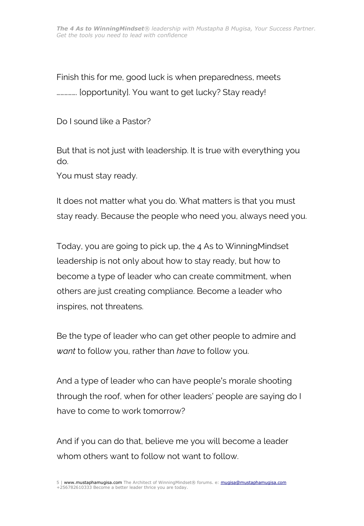Finish this for me, good luck is when preparedness, meets ……………. [opportunity]. You want to get lucky? Stay ready!

Do I sound like a Pastor?

But that is not just with leadership. It is true with everything you do.

You must stay ready.

It does not matter what you do. What matters is that you must stay ready. Because the people who need you, always need you.

Today, you are going to pick up, the 4 As to WinningMindset leadership is not only about how to stay ready, but how to become a type of leader who can create commitment, when others are just creating compliance. Become a leader who inspires, not threatens.

Be the type of leader who can get other people to admire and *want* to follow you, rather than *have* to follow you.

And a type of leader who can have people's morale shooting through the roof, when for other leaders' people are saying do I have to come to work tomorrow?

And if you can do that, believe me you will become a leader whom others want to follow not want to follow.

<sup>5 |</sup> www.mustaphamugisa.com The Architect of WinningMindset® forums. e: mugisa@mustaphamugisa.com +256782610333 Become a better leader thrice you are today.